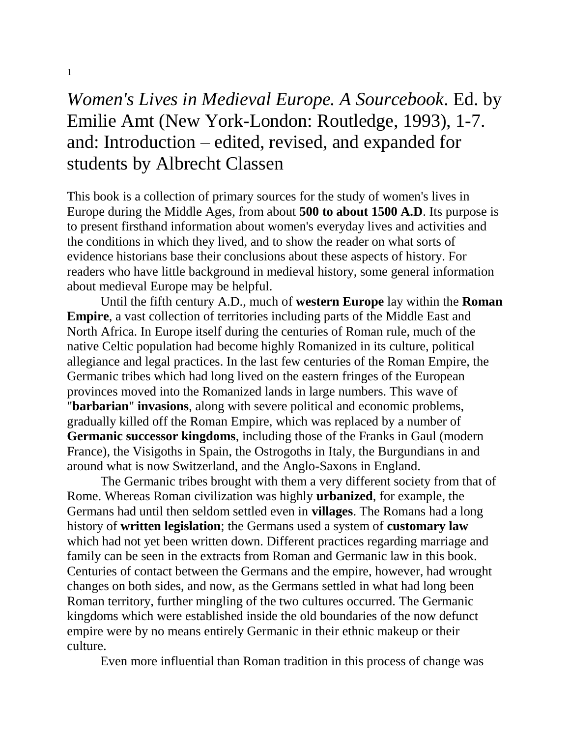# *Women's Lives in Medieval Europe. A Sourcebook*. Ed. by Emilie Amt (New York-London: Routledge, 1993), 1-7. and: Introduction – edited, revised, and expanded for students by Albrecht Classen

This book is a collection of primary sources for the study of women's lives in Europe during the Middle Ages, from about **500 to about 1500 A.D**. Its purpose is to present firsthand information about women's everyday lives and activities and the conditions in which they lived, and to show the reader on what sorts of evidence historians base their conclusions about these aspects of history. For readers who have little background in medieval history, some general information about medieval Europe may be helpful.

Until the fifth century A.D., much of **western Europe** lay within the **Roman Empire**, a vast collection of territories including parts of the Middle East and North Africa. In Europe itself during the centuries of Roman rule, much of the native Celtic population had become highly Romanized in its culture, political allegiance and legal practices. In the last few centuries of the Roman Empire, the Germanic tribes which had long lived on the eastern fringes of the European provinces moved into the Romanized lands in large numbers. This wave of "**barbarian**" **invasions**, along with severe political and economic problems, gradually killed off the Roman Empire, which was replaced by a number of **Germanic successor kingdoms**, including those of the Franks in Gaul (modern France), the Visigoths in Spain, the Ostrogoths in Italy, the Burgundians in and around what is now Switzerland, and the Anglo-Saxons in England.

The Germanic tribes brought with them a very different society from that of Rome. Whereas Roman civilization was highly **urbanized**, for example, the Germans had until then seldom settled even in **villages**. The Romans had a long history of **written legislation**; the Germans used a system of **customary law** which had not yet been written down. Different practices regarding marriage and family can be seen in the extracts from Roman and Germanic law in this book. Centuries of contact between the Germans and the empire, however, had wrought changes on both sides, and now, as the Germans settled in what had long been Roman territory, further mingling of the two cultures occurred. The Germanic kingdoms which were established inside the old boundaries of the now defunct empire were by no means entirely Germanic in their ethnic makeup or their culture.

Even more influential than Roman tradition in this process of change was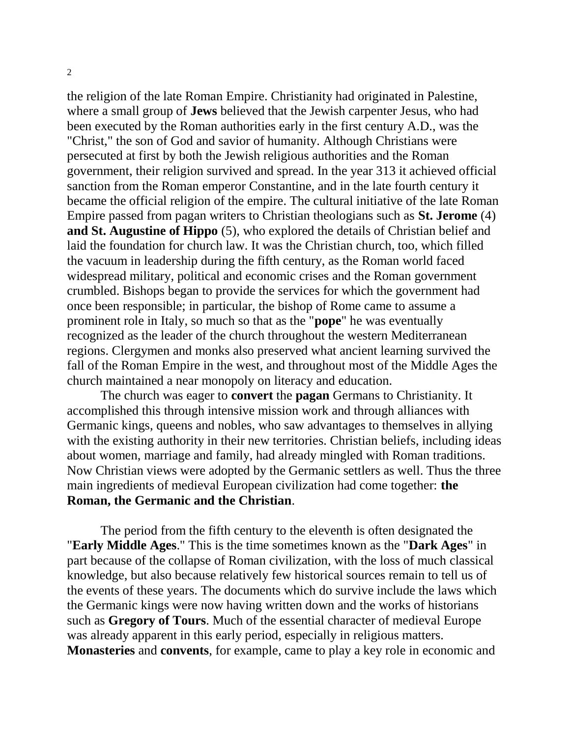the religion of the late Roman Empire. Christianity had originated in Palestine, where a small group of **Jews** believed that the Jewish carpenter Jesus, who had been executed by the Roman authorities early in the first century A.D., was the "Christ," the son of God and savior of humanity. Although Christians were persecuted at first by both the Jewish religious authorities and the Roman government, their religion survived and spread. In the year 313 it achieved official sanction from the Roman emperor Constantine, and in the late fourth century it became the official religion of the empire. The cultural initiative of the late Roman Empire passed from pagan writers to Christian theologians such as **St. Jerome** (4) **and St. Augustine of Hippo** (5), who explored the details of Christian belief and laid the foundation for church law. It was the Christian church, too, which filled the vacuum in leadership during the fifth century, as the Roman world faced widespread military, political and economic crises and the Roman government crumbled. Bishops began to provide the services for which the government had once been responsible; in particular, the bishop of Rome came to assume a prominent role in Italy, so much so that as the "**pope**" he was eventually recognized as the leader of the church throughout the western Mediterranean regions. Clergymen and monks also preserved what ancient learning survived the fall of the Roman Empire in the west, and throughout most of the Middle Ages the church maintained a near monopoly on literacy and education.

The church was eager to **convert** the **pagan** Germans to Christianity. It accomplished this through intensive mission work and through alliances with Germanic kings, queens and nobles, who saw advantages to themselves in allying with the existing authority in their new territories. Christian beliefs, including ideas about women, marriage and family, had already mingled with Roman traditions. Now Christian views were adopted by the Germanic settlers as well. Thus the three main ingredients of medieval European civilization had come together: **the Roman, the Germanic and the Christian**.

The period from the fifth century to the eleventh is often designated the "**Early Middle Ages**." This is the time sometimes known as the "**Dark Ages**" in part because of the collapse of Roman civilization, with the loss of much classical knowledge, but also because relatively few historical sources remain to tell us of the events of these years. The documents which do survive include the laws which the Germanic kings were now having written down and the works of historians such as **Gregory of Tours**. Much of the essential character of medieval Europe was already apparent in this early period, especially in religious matters. **Monasteries** and **convents**, for example, came to play a key role in economic and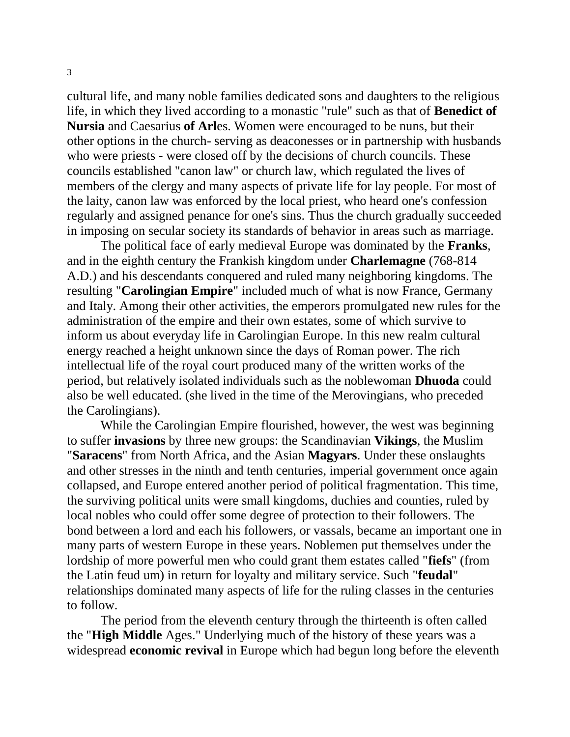cultural life, and many noble families dedicated sons and daughters to the religious life, in which they lived according to a monastic "rule" such as that of **Benedict of Nursia** and Caesarius **of Arl**es. Women were encouraged to be nuns, but their other options in the church- serving as deaconesses or in partnership with husbands who were priests - were closed off by the decisions of church councils. These councils established "canon law" or church law, which regulated the lives of members of the clergy and many aspects of private life for lay people. For most of the laity, canon law was enforced by the local priest, who heard one's confession regularly and assigned penance for one's sins. Thus the church gradually succeeded in imposing on secular society its standards of behavior in areas such as marriage.

The political face of early medieval Europe was dominated by the **Franks**, and in the eighth century the Frankish kingdom under **Charlemagne** (768-814 A.D.) and his descendants conquered and ruled many neighboring kingdoms. The resulting "**Carolingian Empire**" included much of what is now France, Germany and Italy. Among their other activities, the emperors promulgated new rules for the administration of the empire and their own estates, some of which survive to inform us about everyday life in Carolingian Europe. In this new realm cultural energy reached a height unknown since the days of Roman power. The rich intellectual life of the royal court produced many of the written works of the period, but relatively isolated individuals such as the noblewoman **Dhuoda** could also be well educated. (she lived in the time of the Merovingians, who preceded the Carolingians).

While the Carolingian Empire flourished, however, the west was beginning to suffer **invasions** by three new groups: the Scandinavian **Vikings**, the Muslim "**Saracens**" from North Africa, and the Asian **Magyars**. Under these onslaughts and other stresses in the ninth and tenth centuries, imperial government once again collapsed, and Europe entered another period of political fragmentation. This time, the surviving political units were small kingdoms, duchies and counties, ruled by local nobles who could offer some degree of protection to their followers. The bond between a lord and each his followers, or vassals, became an important one in many parts of western Europe in these years. Noblemen put themselves under the lordship of more powerful men who could grant them estates called "**fiefs**" (from the Latin feud um) in return for loyalty and military service. Such "**feudal**" relationships dominated many aspects of life for the ruling classes in the centuries to follow.

The period from the eleventh century through the thirteenth is often called the "**High Middle** Ages." Underlying much of the history of these years was a widespread **economic revival** in Europe which had begun long before the eleventh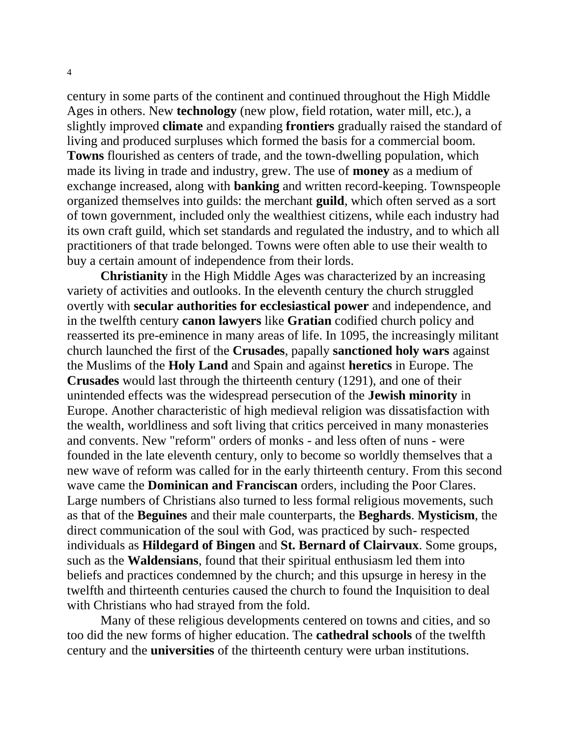century in some parts of the continent and continued throughout the High Middle Ages in others. New **technology** (new plow, field rotation, water mill, etc.), a slightly improved **climate** and expanding **frontiers** gradually raised the standard of living and produced surpluses which formed the basis for a commercial boom. **Towns** flourished as centers of trade, and the town-dwelling population, which made its living in trade and industry, grew. The use of **money** as a medium of exchange increased, along with **banking** and written record-keeping. Townspeople organized themselves into guilds: the merchant **guild**, which often served as a sort of town government, included only the wealthiest citizens, while each industry had its own craft guild, which set standards and regulated the industry, and to which all practitioners of that trade belonged. Towns were often able to use their wealth to buy a certain amount of independence from their lords.

**Christianity** in the High Middle Ages was characterized by an increasing variety of activities and outlooks. In the eleventh century the church struggled overtly with **secular authorities for ecclesiastical power** and independence, and in the twelfth century **canon lawyers** like **Gratian** codified church policy and reasserted its pre-eminence in many areas of life. In 1095, the increasingly militant church launched the first of the **Crusades**, papally **sanctioned holy wars** against the Muslims of the **Holy Land** and Spain and against **heretics** in Europe. The **Crusades** would last through the thirteenth century (1291), and one of their unintended effects was the widespread persecution of the **Jewish minority** in Europe. Another characteristic of high medieval religion was dissatisfaction with the wealth, worldliness and soft living that critics perceived in many monasteries and convents. New "reform" orders of monks - and less often of nuns - were founded in the late eleventh century, only to become so worldly themselves that a new wave of reform was called for in the early thirteenth century. From this second wave came the **Dominican and Franciscan** orders, including the Poor Clares. Large numbers of Christians also turned to less formal religious movements, such as that of the **Beguines** and their male counterparts, the **Beghards**. **Mysticism**, the direct communication of the soul with God, was practiced by such- respected individuals as **Hildegard of Bingen** and **St. Bernard of Clairvaux**. Some groups, such as the **Waldensians**, found that their spiritual enthusiasm led them into beliefs and practices condemned by the church; and this upsurge in heresy in the twelfth and thirteenth centuries caused the church to found the Inquisition to deal with Christians who had strayed from the fold.

Many of these religious developments centered on towns and cities, and so too did the new forms of higher education. The **cathedral schools** of the twelfth century and the **universities** of the thirteenth century were urban institutions.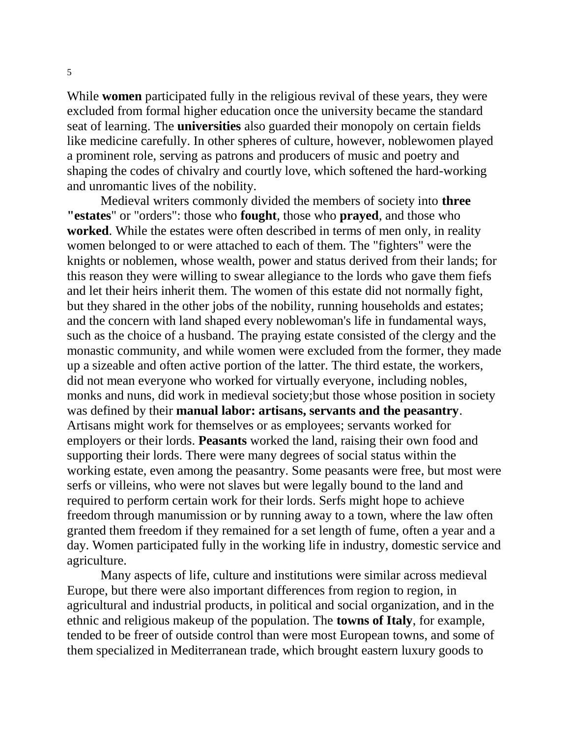While **women** participated fully in the religious revival of these years, they were excluded from formal higher education once the university became the standard seat of learning. The **universities** also guarded their monopoly on certain fields like medicine carefully. In other spheres of culture, however, noblewomen played a prominent role, serving as patrons and producers of music and poetry and shaping the codes of chivalry and courtly love, which softened the hard-working and unromantic lives of the nobility.

Medieval writers commonly divided the members of society into **three "estates**" or "orders": those who **fought**, those who **prayed**, and those who **worked**. While the estates were often described in terms of men only, in reality women belonged to or were attached to each of them. The "fighters" were the knights or noblemen, whose wealth, power and status derived from their lands; for this reason they were willing to swear allegiance to the lords who gave them fiefs and let their heirs inherit them. The women of this estate did not normally fight, but they shared in the other jobs of the nobility, running households and estates; and the concern with land shaped every noblewoman's life in fundamental ways, such as the choice of a husband. The praying estate consisted of the clergy and the monastic community, and while women were excluded from the former, they made up a sizeable and often active portion of the latter. The third estate, the workers, did not mean everyone who worked for virtually everyone, including nobles, monks and nuns, did work in medieval society;but those whose position in society was defined by their **manual labor: artisans, servants and the peasantry**. Artisans might work for themselves or as employees; servants worked for employers or their lords. **Peasants** worked the land, raising their own food and supporting their lords. There were many degrees of social status within the working estate, even among the peasantry. Some peasants were free, but most were serfs or villeins, who were not slaves but were legally bound to the land and required to perform certain work for their lords. Serfs might hope to achieve freedom through manumission or by running away to a town, where the law often granted them freedom if they remained for a set length of fume, often a year and a day. Women participated fully in the working life in industry, domestic service and agriculture.

Many aspects of life, culture and institutions were similar across medieval Europe, but there were also important differences from region to region, in agricultural and industrial products, in political and social organization, and in the ethnic and religious makeup of the population. The **towns of Italy**, for example, tended to be freer of outside control than were most European towns, and some of them specialized in Mediterranean trade, which brought eastern luxury goods to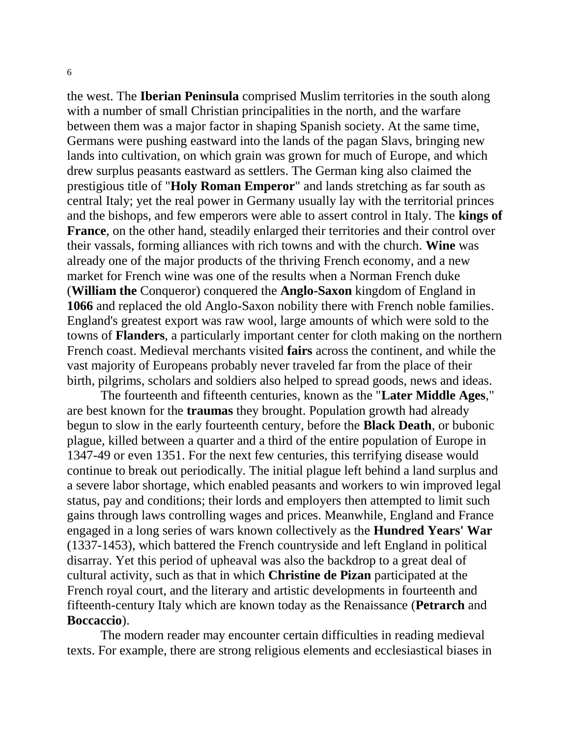6

the west. The **Iberian Peninsula** comprised Muslim territories in the south along with a number of small Christian principalities in the north, and the warfare between them was a major factor in shaping Spanish society. At the same time, Germans were pushing eastward into the lands of the pagan Slavs, bringing new lands into cultivation, on which grain was grown for much of Europe, and which drew surplus peasants eastward as settlers. The German king also claimed the prestigious title of "**Holy Roman Emperor**" and lands stretching as far south as central Italy; yet the real power in Germany usually lay with the territorial princes and the bishops, and few emperors were able to assert control in Italy. The **kings of France**, on the other hand, steadily enlarged their territories and their control over their vassals, forming alliances with rich towns and with the church. **Wine** was already one of the major products of the thriving French economy, and a new market for French wine was one of the results when a Norman French duke (**William the** Conqueror) conquered the **Anglo-Saxon** kingdom of England in **1066** and replaced the old Anglo-Saxon nobility there with French noble families. England's greatest export was raw wool, large amounts of which were sold to the towns of **Flanders**, a particularly important center for cloth making on the northern French coast. Medieval merchants visited **fairs** across the continent, and while the vast majority of Europeans probably never traveled far from the place of their birth, pilgrims, scholars and soldiers also helped to spread goods, news and ideas.

The fourteenth and fifteenth centuries, known as the "**Later Middle Ages**," are best known for the **traumas** they brought. Population growth had already begun to slow in the early fourteenth century, before the **Black Death**, or bubonic plague, killed between a quarter and a third of the entire population of Europe in 1347-49 or even 1351. For the next few centuries, this terrifying disease would continue to break out periodically. The initial plague left behind a land surplus and a severe labor shortage, which enabled peasants and workers to win improved legal status, pay and conditions; their lords and employers then attempted to limit such gains through laws controlling wages and prices. Meanwhile, England and France engaged in a long series of wars known collectively as the **Hundred Years' War** (1337-1453), which battered the French countryside and left England in political disarray. Yet this period of upheaval was also the backdrop to a great deal of cultural activity, such as that in which **Christine de Pizan** participated at the French royal court, and the literary and artistic developments in fourteenth and fifteenth-century Italy which are known today as the Renaissance (**Petrarch** and **Boccaccio**).

The modern reader may encounter certain difficulties in reading medieval texts. For example, there are strong religious elements and ecclesiastical biases in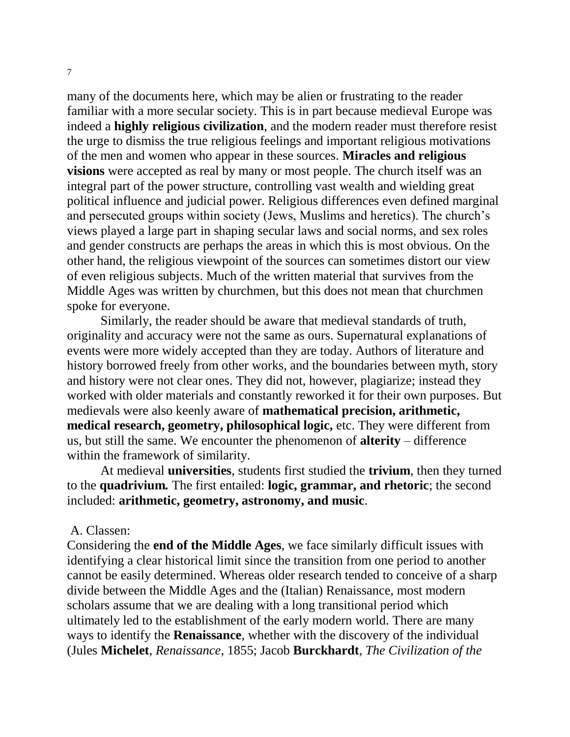many of the documents here, which may be alien or frustrating to the reader familiar with a more secular society. This is in part because medieval Europe was indeed a **highly religious civilization**, and the modern reader must therefore resist the urge to dismiss the true religious feelings and important religious motivations of the men and women who appear in these sources. **Miracles and religious visions** were accepted as real by many or most people. The church itself was an integral part of the power structure, controlling vast wealth and wielding great political influence and judicial power. Religious differences even defined marginal and persecuted groups within society (Jews, Muslims and heretics). The church's views played a large part in shaping secular laws and social norms, and sex roles and gender constructs are perhaps the areas in which this is most obvious. On the other hand, the religious viewpoint of the sources can sometimes distort our view of even religious subjects. Much of the written material that survives from the Middle Ages was written by churchmen, but this does not mean that churchmen spoke for everyone.

Similarly, the reader should be aware that medieval standards of truth, originality and accuracy were not the same as ours. Supernatural explanations of events were more widely accepted than they are today. Authors of literature and history borrowed freely from other works, and the boundaries between myth, story and history were not clear ones. They did not, however, plagiarize; instead they worked with older materials and constantly reworked it for their own purposes. But medievals were also keenly aware of **mathematical precision, arithmetic, medical research, geometry, philosophical logic,** etc. They were different from us, but still the same. We encounter the phenomenon of **alterity** – difference within the framework of similarity.

At medieval **universities**, students first studied the **trivium**, then they turned to the **quadrivium***.* The first entailed: **logic, grammar, and rhetoric**; the second included: **arithmetic, geometry, astronomy, and music**.

#### A. Classen:

Considering the **end of the Middle Ages**, we face similarly difficult issues with identifying a clear historical limit since the transition from one period to another cannot be easily determined. Whereas older research tended to conceive of a sharp divide between the Middle Ages and the (Italian) Renaissance, most modern scholars assume that we are dealing with a long transitional period which ultimately led to the establishment of the early modern world. There are many ways to identify the **Renaissance**, whether with the discovery of the individual (Jules **Michelet**, *Renaissance*, 1855; Jacob **Burckhardt**, *The Civilization of the*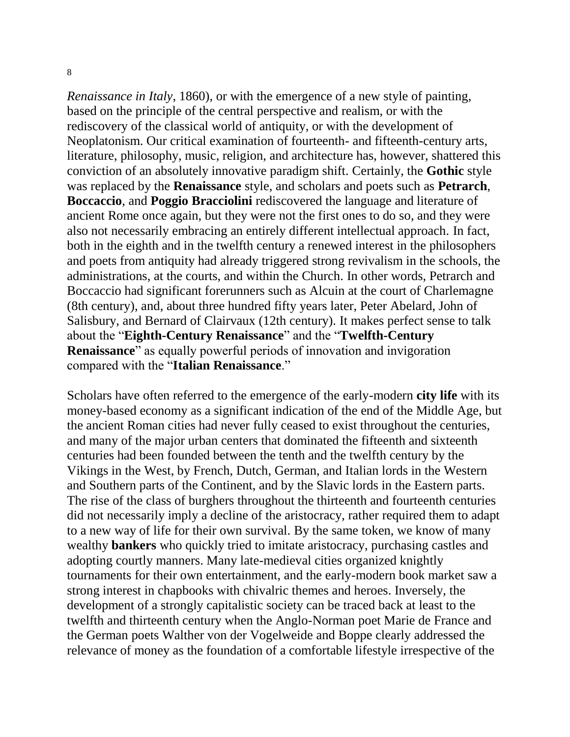*Renaissance in Italy*, 1860), or with the emergence of a new style of painting, based on the principle of the central perspective and realism, or with the rediscovery of the classical world of antiquity, or with the development of Neoplatonism. Our critical examination of fourteenth- and fifteenth-century arts, literature, philosophy, music, religion, and architecture has, however, shattered this conviction of an absolutely innovative paradigm shift. Certainly, the **Gothic** style was replaced by the **Renaissance** style, and scholars and poets such as **Petrarch**, **Boccaccio**, and **Poggio Bracciolini** rediscovered the language and literature of ancient Rome once again, but they were not the first ones to do so, and they were also not necessarily embracing an entirely different intellectual approach. In fact, both in the eighth and in the twelfth century a renewed interest in the philosophers and poets from antiquity had already triggered strong revivalism in the schools, the administrations, at the courts, and within the Church. In other words, Petrarch and Boccaccio had significant forerunners such as Alcuin at the court of Charlemagne (8th century), and, about three hundred fifty years later, Peter Abelard, John of Salisbury, and Bernard of Clairvaux (12th century). It makes perfect sense to talk about the "**Eighth-Century Renaissance**" and the "**Twelfth-Century Renaissance**" as equally powerful periods of innovation and invigoration compared with the "**Italian Renaissance**."

Scholars have often referred to the emergence of the early-modern **city life** with its money-based economy as a significant indication of the end of the Middle Age, but the ancient Roman cities had never fully ceased to exist throughout the centuries, and many of the major urban centers that dominated the fifteenth and sixteenth centuries had been founded between the tenth and the twelfth century by the Vikings in the West, by French, Dutch, German, and Italian lords in the Western and Southern parts of the Continent, and by the Slavic lords in the Eastern parts. The rise of the class of burghers throughout the thirteenth and fourteenth centuries did not necessarily imply a decline of the aristocracy, rather required them to adapt to a new way of life for their own survival. By the same token, we know of many wealthy **bankers** who quickly tried to imitate aristocracy, purchasing castles and adopting courtly manners. Many late-medieval cities organized knightly tournaments for their own entertainment, and the early-modern book market saw a strong interest in chapbooks with chivalric themes and heroes. Inversely, the development of a strongly capitalistic society can be traced back at least to the twelfth and thirteenth century when the Anglo-Norman poet Marie de France and the German poets Walther von der Vogelweide and Boppe clearly addressed the relevance of money as the foundation of a comfortable lifestyle irrespective of the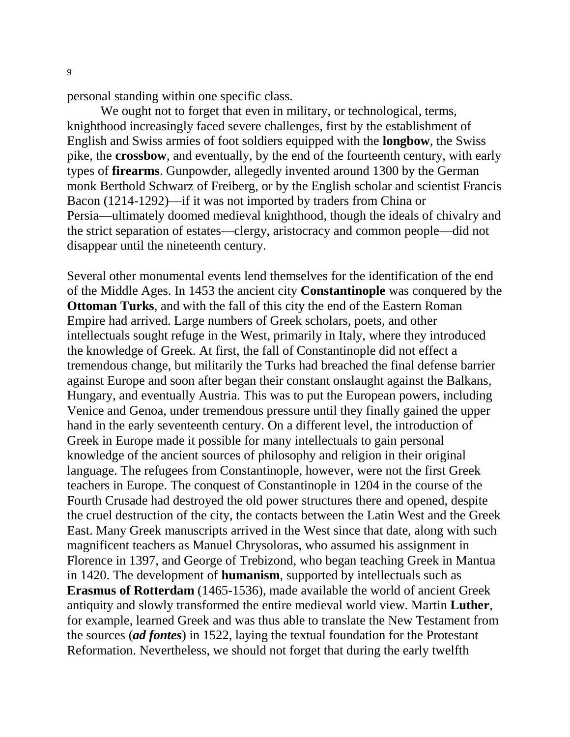personal standing within one specific class.

We ought not to forget that even in military, or technological, terms, knighthood increasingly faced severe challenges, first by the establishment of English and Swiss armies of foot soldiers equipped with the **longbow**, the Swiss pike, the **crossbow**, and eventually, by the end of the fourteenth century, with early types of **firearms**. Gunpowder, allegedly invented around 1300 by the German monk Berthold Schwarz of Freiberg, or by the English scholar and scientist Francis Bacon (1214-1292)—if it was not imported by traders from China or Persia—ultimately doomed medieval knighthood, though the ideals of chivalry and the strict separation of estates—clergy, aristocracy and common people—did not disappear until the nineteenth century.

Several other monumental events lend themselves for the identification of the end of the Middle Ages. In 1453 the ancient city **Constantinople** was conquered by the **Ottoman Turks**, and with the fall of this city the end of the Eastern Roman Empire had arrived. Large numbers of Greek scholars, poets, and other intellectuals sought refuge in the West, primarily in Italy, where they introduced the knowledge of Greek. At first, the fall of Constantinople did not effect a tremendous change, but militarily the Turks had breached the final defense barrier against Europe and soon after began their constant onslaught against the Balkans, Hungary, and eventually Austria. This was to put the European powers, including Venice and Genoa, under tremendous pressure until they finally gained the upper hand in the early seventeenth century. On a different level, the introduction of Greek in Europe made it possible for many intellectuals to gain personal knowledge of the ancient sources of philosophy and religion in their original language. The refugees from Constantinople, however, were not the first Greek teachers in Europe. The conquest of Constantinople in 1204 in the course of the Fourth Crusade had destroyed the old power structures there and opened, despite the cruel destruction of the city, the contacts between the Latin West and the Greek East. Many Greek manuscripts arrived in the West since that date, along with such magnificent teachers as Manuel Chrysoloras, who assumed his assignment in Florence in 1397, and George of Trebizond, who began teaching Greek in Mantua in 1420. The development of **humanism**, supported by intellectuals such as **Erasmus of Rotterdam** (1465-1536), made available the world of ancient Greek antiquity and slowly transformed the entire medieval world view. Martin **Luther**, for example, learned Greek and was thus able to translate the New Testament from the sources (*ad fontes*) in 1522, laying the textual foundation for the Protestant Reformation. Nevertheless, we should not forget that during the early twelfth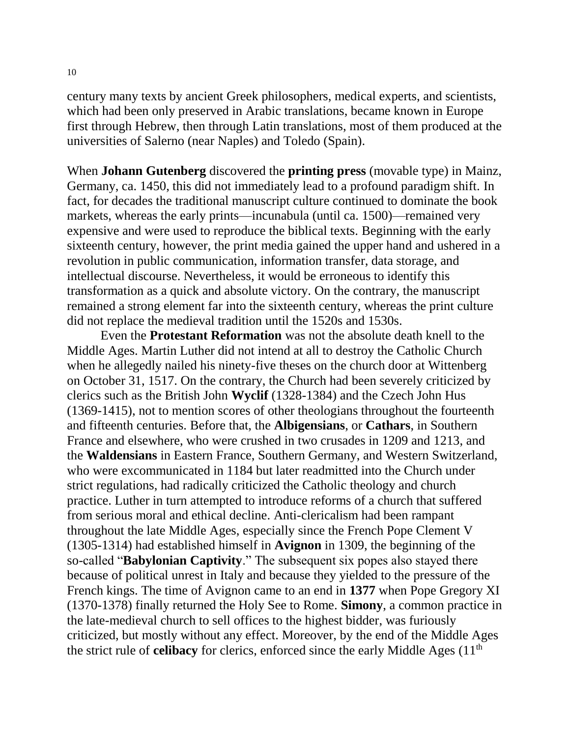century many texts by ancient Greek philosophers, medical experts, and scientists, which had been only preserved in Arabic translations, became known in Europe first through Hebrew, then through Latin translations, most of them produced at the universities of Salerno (near Naples) and Toledo (Spain).

When **Johann Gutenberg** discovered the **printing press** (movable type) in Mainz, Germany, ca. 1450, this did not immediately lead to a profound paradigm shift. In fact, for decades the traditional manuscript culture continued to dominate the book markets, whereas the early prints—incunabula (until ca. 1500)—remained very expensive and were used to reproduce the biblical texts. Beginning with the early sixteenth century, however, the print media gained the upper hand and ushered in a revolution in public communication, information transfer, data storage, and intellectual discourse. Nevertheless, it would be erroneous to identify this transformation as a quick and absolute victory. On the contrary, the manuscript remained a strong element far into the sixteenth century, whereas the print culture did not replace the medieval tradition until the 1520s and 1530s.

Even the **Protestant Reformation** was not the absolute death knell to the Middle Ages. Martin Luther did not intend at all to destroy the Catholic Church when he allegedly nailed his ninety-five theses on the church door at Wittenberg on October 31, 1517. On the contrary, the Church had been severely criticized by clerics such as the British John **Wyclif** (1328-1384) and the Czech John Hus (1369-1415), not to mention scores of other theologians throughout the fourteenth and fifteenth centuries. Before that, the **Albigensians**, or **Cathars**, in Southern France and elsewhere, who were crushed in two crusades in 1209 and 1213, and the **Waldensians** in Eastern France, Southern Germany, and Western Switzerland, who were excommunicated in 1184 but later readmitted into the Church under strict regulations, had radically criticized the Catholic theology and church practice. Luther in turn attempted to introduce reforms of a church that suffered from serious moral and ethical decline. Anti-clericalism had been rampant throughout the late Middle Ages, especially since the French Pope Clement V (1305-1314) had established himself in **Avignon** in 1309, the beginning of the so-called "**Babylonian Captivity**." The subsequent six popes also stayed there because of political unrest in Italy and because they yielded to the pressure of the French kings. The time of Avignon came to an end in **1377** when Pope Gregory XI (1370-1378) finally returned the Holy See to Rome. **Simony**, a common practice in the late-medieval church to sell offices to the highest bidder, was furiously criticized, but mostly without any effect. Moreover, by the end of the Middle Ages the strict rule of **celibacy** for clerics, enforced since the early Middle Ages (11<sup>th</sup>)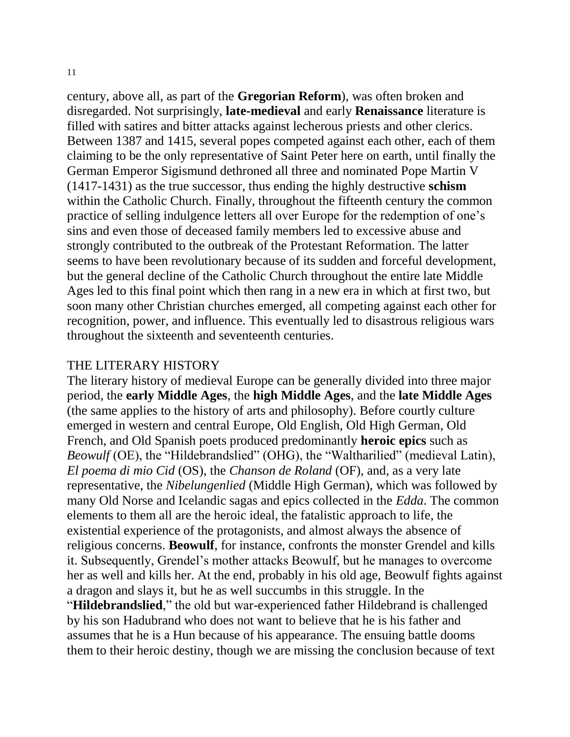century, above all, as part of the **Gregorian Reform**), was often broken and disregarded. Not surprisingly, **late-medieval** and early **Renaissance** literature is filled with satires and bitter attacks against lecherous priests and other clerics. Between 1387 and 1415, several popes competed against each other, each of them claiming to be the only representative of Saint Peter here on earth, until finally the German Emperor Sigismund dethroned all three and nominated Pope Martin V (1417-1431) as the true successor, thus ending the highly destructive **schism** within the Catholic Church. Finally, throughout the fifteenth century the common practice of selling indulgence letters all over Europe for the redemption of one's sins and even those of deceased family members led to excessive abuse and strongly contributed to the outbreak of the Protestant Reformation. The latter seems to have been revolutionary because of its sudden and forceful development, but the general decline of the Catholic Church throughout the entire late Middle Ages led to this final point which then rang in a new era in which at first two, but soon many other Christian churches emerged, all competing against each other for recognition, power, and influence. This eventually led to disastrous religious wars throughout the sixteenth and seventeenth centuries.

#### THE LITERARY HISTORY

The literary history of medieval Europe can be generally divided into three major period, the **early Middle Ages**, the **high Middle Ages**, and the **late Middle Ages** (the same applies to the history of arts and philosophy). Before courtly culture emerged in western and central Europe, Old English, Old High German, Old French, and Old Spanish poets produced predominantly **heroic epics** such as *Beowulf* (OE), the "Hildebrandslied" (OHG), the "Waltharilied" (medieval Latin), *El poema di mio Cid* (OS), the *Chanson de Roland* (OF), and, as a very late representative, the *Nibelungenlied* (Middle High German), which was followed by many Old Norse and Icelandic sagas and epics collected in the *Edda*. The common elements to them all are the heroic ideal, the fatalistic approach to life, the existential experience of the protagonists, and almost always the absence of religious concerns. **Beowulf**, for instance, confronts the monster Grendel and kills it. Subsequently, Grendel's mother attacks Beowulf, but he manages to overcome her as well and kills her. At the end, probably in his old age, Beowulf fights against a dragon and slays it, but he as well succumbs in this struggle. In the "**Hildebrandslied**," the old but war-experienced father Hildebrand is challenged by his son Hadubrand who does not want to believe that he is his father and assumes that he is a Hun because of his appearance. The ensuing battle dooms them to their heroic destiny, though we are missing the conclusion because of text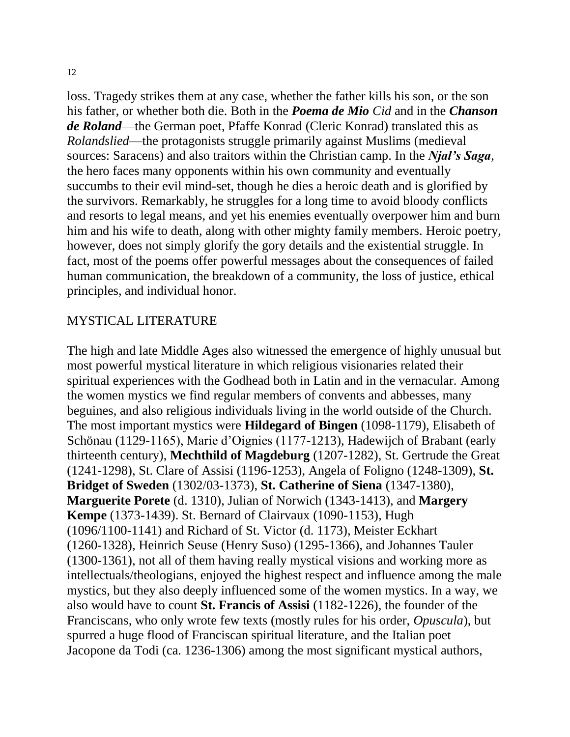loss. Tragedy strikes them at any case, whether the father kills his son, or the son his father, or whether both die. Both in the *Poema de Mio Cid* and in the *Chanson de Roland*—the German poet, Pfaffe Konrad (Cleric Konrad) translated this as *Rolandslied*—the protagonists struggle primarily against Muslims (medieval sources: Saracens) and also traitors within the Christian camp. In the *Njal's Saga*, the hero faces many opponents within his own community and eventually succumbs to their evil mind-set, though he dies a heroic death and is glorified by the survivors. Remarkably, he struggles for a long time to avoid bloody conflicts and resorts to legal means, and yet his enemies eventually overpower him and burn him and his wife to death, along with other mighty family members. Heroic poetry, however, does not simply glorify the gory details and the existential struggle. In fact, most of the poems offer powerful messages about the consequences of failed human communication, the breakdown of a community, the loss of justice, ethical principles, and individual honor.

## MYSTICAL LITERATURE

The high and late Middle Ages also witnessed the emergence of highly unusual but most powerful mystical literature in which religious visionaries related their spiritual experiences with the Godhead both in Latin and in the vernacular. Among the women mystics we find regular members of convents and abbesses, many beguines, and also religious individuals living in the world outside of the Church. The most important mystics were **Hildegard of Bingen** (1098-1179), Elisabeth of Schönau (1129-1165), Marie d'Oignies (1177-1213), Hadewijch of Brabant (early thirteenth century), **Mechthild of Magdeburg** (1207-1282), St. Gertrude the Great (1241-1298), St. Clare of Assisi (1196-1253), Angela of Foligno (1248-1309), **St. Bridget of Sweden** (1302/03-1373), **St. Catherine of Siena** (1347-1380), **Marguerite Porete** (d. 1310), Julian of Norwich (1343-1413), and **Margery Kempe** (1373-1439). St. Bernard of Clairvaux (1090-1153), Hugh (1096/1100-1141) and Richard of St. Victor (d. 1173), Meister Eckhart (1260-1328), Heinrich Seuse (Henry Suso) (1295-1366), and Johannes Tauler (1300-1361), not all of them having really mystical visions and working more as intellectuals/theologians, enjoyed the highest respect and influence among the male mystics, but they also deeply influenced some of the women mystics. In a way, we also would have to count **St. Francis of Assisi** (1182-1226), the founder of the Franciscans, who only wrote few texts (mostly rules for his order, *Opuscula*), but spurred a huge flood of Franciscan spiritual literature, and the Italian poet Jacopone da Todi (ca. 1236-1306) among the most significant mystical authors,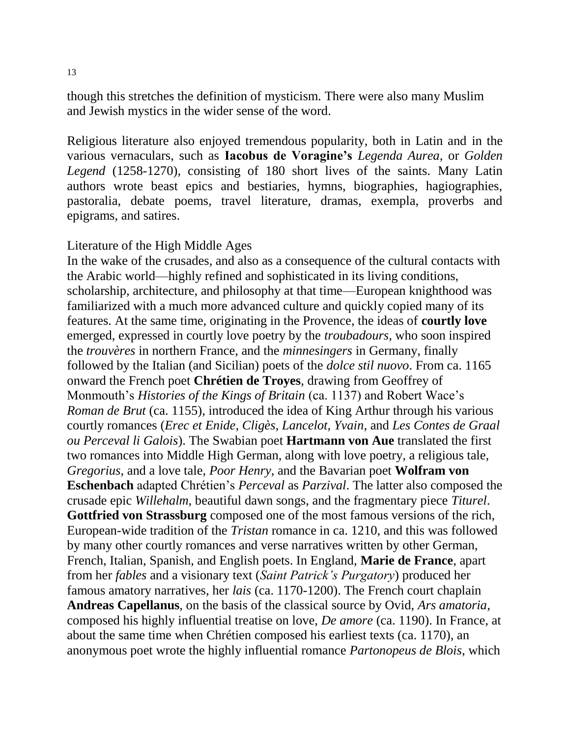though this stretches the definition of mysticism. There were also many Muslim and Jewish mystics in the wider sense of the word.

Religious literature also enjoyed tremendous popularity, both in Latin and in the various vernaculars, such as **Iacobus de Voragine's** *Legenda Aurea*, or *Golden Legend* (1258-1270), consisting of 180 short lives of the saints. Many Latin authors wrote beast epics and bestiaries, hymns, biographies, hagiographies, pastoralia, debate poems, travel literature, dramas, exempla, proverbs and epigrams, and satires.

Literature of the High Middle Ages

In the wake of the crusades, and also as a consequence of the cultural contacts with the Arabic world—highly refined and sophisticated in its living conditions, scholarship, architecture, and philosophy at that time—European knighthood was familiarized with a much more advanced culture and quickly copied many of its features. At the same time, originating in the Provence, the ideas of **courtly love** emerged, expressed in courtly love poetry by the *troubadours*, who soon inspired the *trouvères* in northern France, and the *minnesingers* in Germany, finally followed by the Italian (and Sicilian) poets of the *dolce stil nuovo*. From ca. 1165 onward the French poet **Chrétien de Troyes**, drawing from Geoffrey of Monmouth's *Histories of the Kings of Britain* (ca. 1137) and Robert Wace's *Roman de Brut* (ca. 1155), introduced the idea of King Arthur through his various courtly romances (*Erec et Enide*, *Cligès*, *Lancelot*, *Yvain*, and *Les Contes de Graal ou Perceval li Galois*). The Swabian poet **Hartmann von Aue** translated the first two romances into Middle High German, along with love poetry, a religious tale, *Gregorius*, and a love tale, *Poor Henry*, and the Bavarian poet **Wolfram von Eschenbach** adapted Chrétien's *Perceval* as *Parzival*. The latter also composed the crusade epic *Willehalm*, beautiful dawn songs, and the fragmentary piece *Titurel*. **Gottfried von Strassburg** composed one of the most famous versions of the rich, European-wide tradition of the *Tristan* romance in ca. 1210, and this was followed by many other courtly romances and verse narratives written by other German, French, Italian, Spanish, and English poets. In England, **Marie de France**, apart from her *fables* and a visionary text (*Saint Patrick's Purgatory*) produced her famous amatory narratives, her *lais* (ca. 1170-1200). The French court chaplain **Andreas Capellanus**, on the basis of the classical source by Ovid, *Ars amatoria*, composed his highly influential treatise on love, *De amore* (ca. 1190). In France, at about the same time when Chrétien composed his earliest texts (ca. 1170), an anonymous poet wrote the highly influential romance *Partonopeus de Blois*, which

13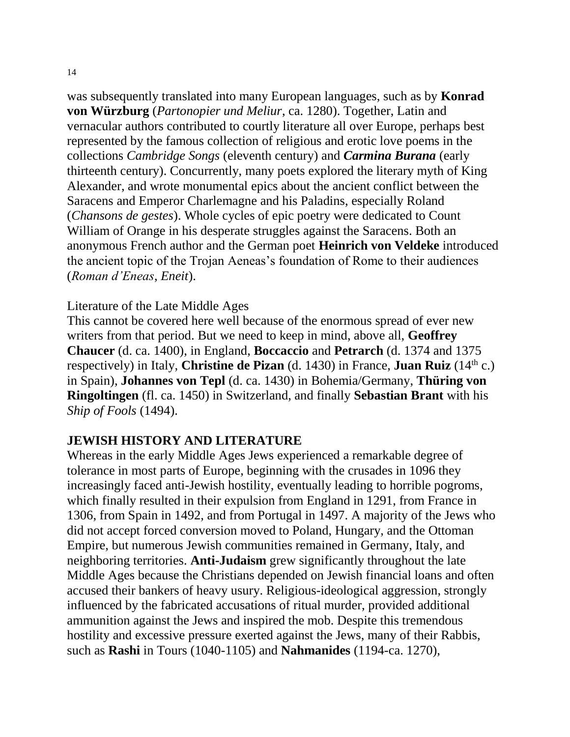was subsequently translated into many European languages, such as by **Konrad von Würzburg** (*Partonopier und Meliur*, ca. 1280). Together, Latin and vernacular authors contributed to courtly literature all over Europe, perhaps best represented by the famous collection of religious and erotic love poems in the collections *Cambridge Songs* (eleventh century) and *Carmina Burana* (early thirteenth century). Concurrently, many poets explored the literary myth of King Alexander, and wrote monumental epics about the ancient conflict between the Saracens and Emperor Charlemagne and his Paladins, especially Roland (*Chansons de gestes*). Whole cycles of epic poetry were dedicated to Count William of Orange in his desperate struggles against the Saracens. Both an anonymous French author and the German poet **Heinrich von Veldeke** introduced the ancient topic of the Trojan Aeneas's foundation of Rome to their audiences (*Roman d'Eneas*, *Eneit*).

## Literature of the Late Middle Ages

This cannot be covered here well because of the enormous spread of ever new writers from that period. But we need to keep in mind, above all, **Geoffrey Chaucer** (d. ca. 1400), in England, **Boccaccio** and **Petrarch** (d. 1374 and 1375 respectively) in Italy, **Christine de Pizan** (d. 1430) in France, **Juan Ruiz** (14th c.) in Spain), **Johannes von Tepl** (d. ca. 1430) in Bohemia/Germany, **Thüring von Ringoltingen** (fl. ca. 1450) in Switzerland, and finally **Sebastian Brant** with his *Ship of Fools* (1494).

#### **JEWISH HISTORY AND LITERATURE**

Whereas in the early Middle Ages Jews experienced a remarkable degree of tolerance in most parts of Europe, beginning with the crusades in 1096 they increasingly faced anti-Jewish hostility, eventually leading to horrible pogroms, which finally resulted in their expulsion from England in 1291, from France in 1306, from Spain in 1492, and from Portugal in 1497. A majority of the Jews who did not accept forced conversion moved to Poland, Hungary, and the Ottoman Empire, but numerous Jewish communities remained in Germany, Italy, and neighboring territories. **Anti-Judaism** grew significantly throughout the late Middle Ages because the Christians depended on Jewish financial loans and often accused their bankers of heavy usury. Religious-ideological aggression, strongly influenced by the fabricated accusations of ritual murder, provided additional ammunition against the Jews and inspired the mob. Despite this tremendous hostility and excessive pressure exerted against the Jews, many of their Rabbis, such as **Rashi** in Tours (1040-1105) and **Nahmanides** (1194-ca. 1270),